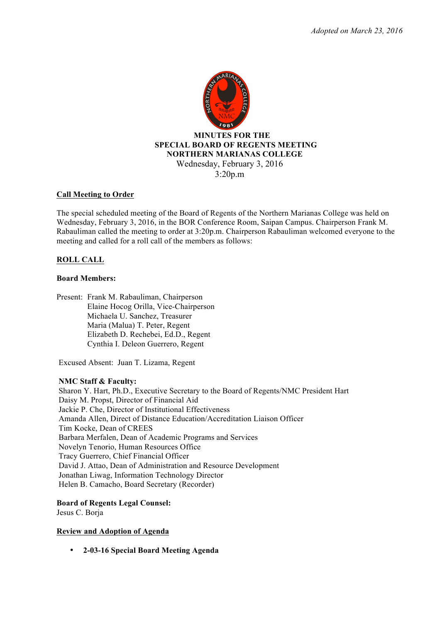

## **Call Meeting to Order**

The special scheduled meeting of the Board of Regents of the Northern Marianas College was held on Wednesday, February 3, 2016, in the BOR Conference Room, Saipan Campus. Chairperson Frank M. Rabauliman called the meeting to order at 3:20p.m. Chairperson Rabauliman welcomed everyone to the meeting and called for a roll call of the members as follows:

# **ROLL CALL**

## **Board Members:**

Present: Frank M. Rabauliman, Chairperson Elaine Hocog Orilla, Vice-Chairperson Michaela U. Sanchez, Treasurer Maria (Malua) T. Peter, Regent Elizabeth D. Rechebei, Ed.D., Regent Cynthia I. Deleon Guerrero, Regent

Excused Absent: Juan T. Lizama, Regent

## **NMC Staff & Faculty:**

Sharon Y. Hart, Ph.D., Executive Secretary to the Board of Regents/NMC President Hart Daisy M. Propst, Director of Financial Aid Jackie P. Che, Director of Institutional Effectiveness Amanda Allen, Direct of Distance Education/Accreditation Liaison Officer Tim Kocke, Dean of CREES Barbara Merfalen, Dean of Academic Programs and Services Novelyn Tenorio, Human Resources Office Tracy Guerrero, Chief Financial Officer David J. Attao, Dean of Administration and Resource Development Jonathan Liwag, Information Technology Director Helen B. Camacho, Board Secretary (Recorder)

# **Board of Regents Legal Counsel:**

Jesus C. Borja

**Review and Adoption of Agenda** 

• **2-03-16 Special Board Meeting Agenda**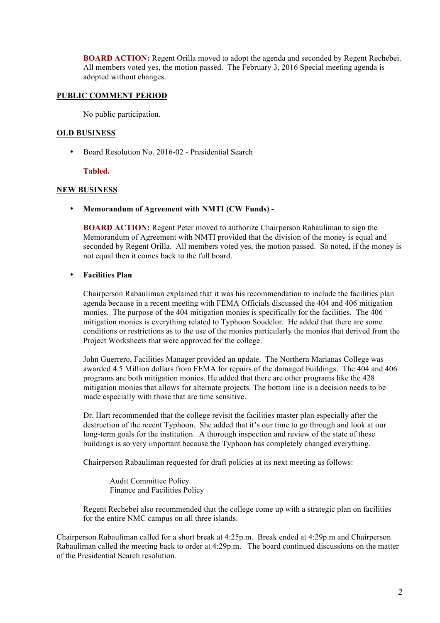**BOARD ACTION:** Regent Orilla moved to adopt the agenda and seconded by Regent Rechebei. All members voted yes, the motion passed. The February 3, 2016 Special meeting agenda is adopted without changes.

## **PUBLIC COMMENT PERIOD**

No public participation.

## **OLD BUSINESS**

• Board Resolution No. 2016-02 - Presidential Search

## **Tabled.**

## **NEW BUSINESS**

• **Memorandum of Agreement with NMTI (CW Funds) -**

**BOARD ACTION:** Regent Peter moved to authorize Chairperson Rabauliman to sign the Memorandum of Agreement with NMTI provided that the division of the money is equal and seconded by Regent Orilla. All members voted yes, the motion passed. So noted, if the money is not equal then it comes back to the full board.

# • **Facilities Plan**

Chairperson Rabauliman explained that it was his recommendation to include the facilities plan agenda because in a recent meeting with FEMA Officials discussed the 404 and 406 mitigation monies. The purpose of the 404 mitigation monies is specifically for the facilities. The 406 mitigation monies is everything related to Typhoon Soudelor. He added that there are some conditions or restrictions as to the use of the monies particularly the monies that derived from the Project Worksheets that were approved for the college.

John Guerrero, Facilities Manager provided an update. The Northern Marianas College was awarded 4.5 Million dollars from FEMA for repairs of the damaged buildings. The 404 and 406 programs are both mitigation monies. He added that there are other programs like the 428 mitigation monies that allows for alternate projects. The bottom line is a decision needs to be made especially with those that are time sensitive.

Dr. Hart recommended that the college revisit the facilities master plan especially after the destruction of the recent Typhoon. She added that it's our time to go through and look at our long-term goals for the institution. A thorough inspection and review of the state of these buildings is so very important because the Typhoon has completely changed everything.

Chairperson Rabauliman requested for draft policies at its next meeting as follows:

Audit Committee Policy Finance and Facilities Policy

Regent Rechebei also recommended that the college come up with a strategic plan on facilities for the entire NMC campus on all three islands.

Chairperson Rabauliman called for a short break at 4:25p.m. Break ended at 4:29p.m and Chairperson Rabauliman called the meeting back to order at 4:29p.m. The board continued discussions on the matter of the Presidential Search resolution.